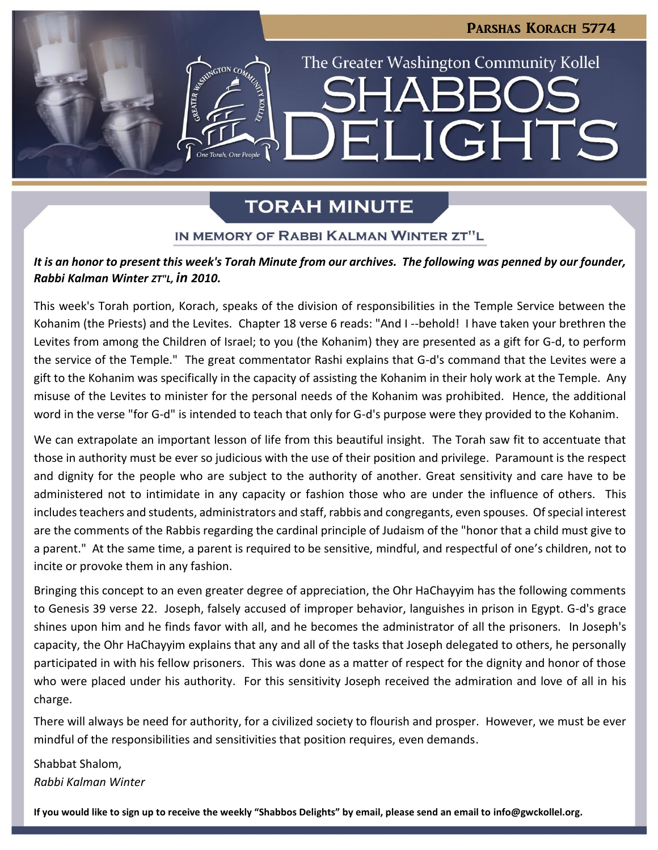# PARSHAS KORACH 5774 The Greater Washington Community Kollel LIGHTS Fil

## **TORAH MINUTE**

## IN MEMORY OF RABBI KALMAN WINTER ZT"L

## *It is an honor to present this week's Torah Minute from our archives. The following was penned by our founder, Rabbi Kalman Winter ZT"L, in 2010.*

This week's Torah portion, Korach, speaks of the division of responsibilities in the Temple Service between the Kohanim (the Priests) and the Levites. Chapter 18 verse 6 reads: "And I --behold! I have taken your brethren the Levites from among the Children of Israel; to you (the Kohanim) they are presented as a gift for G-d, to perform the service of the Temple." The great commentator Rashi explains that G-d's command that the Levites were a gift to the Kohanim was specifically in the capacity of assisting the Kohanim in their holy work at the Temple. Any misuse of the Levites to minister for the personal needs of the Kohanim was prohibited. Hence, the additional word in the verse "for G-d" is intended to teach that only for G-d's purpose were they provided to the Kohanim.

We can extrapolate an important lesson of life from this beautiful insight. The Torah saw fit to accentuate that those in authority must be ever so judicious with the use of their position and privilege. Paramount is the respect and dignity for the people who are subject to the authority of another. Great sensitivity and care have to be administered not to intimidate in any capacity or fashion those who are under the influence of others. This includes teachers and students, administrators and staff, rabbis and congregants, even spouses. Of special interest are the comments of the Rabbis regarding the cardinal principle of Judaism of the "honor that a child must give to a parent." At the same time, a parent is required to be sensitive, mindful, and respectful of one's children, not to incite or provoke them in any fashion.

Bringing this concept to an even greater degree of appreciation, the Ohr HaChayyim has the following comments to Genesis 39 verse 22. Joseph, falsely accused of improper behavior, languishes in prison in Egypt. G-d's grace shines upon him and he finds favor with all, and he becomes the administrator of all the prisoners. In Joseph's capacity, the Ohr HaChayyim explains that any and all of the tasks that Joseph delegated to others, he personally participated in with his fellow prisoners. This was done as a matter of respect for the dignity and honor of those who were placed under his authority. For this sensitivity Joseph received the admiration and love of all in his charge.

There will always be need for authority, for a civilized society to flourish and prosper. However, we must be ever mindful of the responsibilities and sensitivities that position requires, even demands.

Shabbat Shalom, *Rabbi Kalman Winter*

**If you would like to sign up to receive the weekly "Shabbos Delights" by email, please send an email to [info@gwckollel.org.](mailto:info@gwckollel.org)**